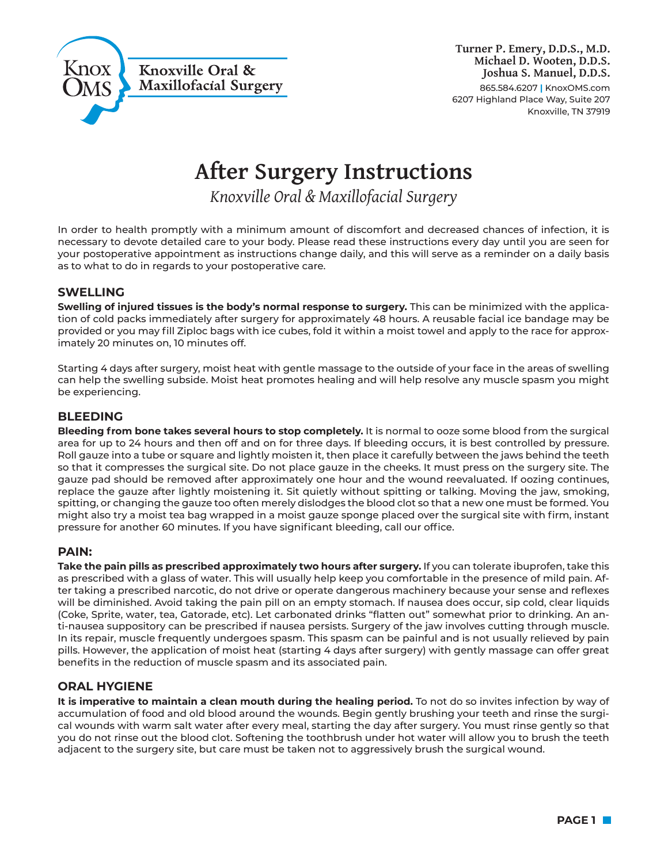

# **After Surgery Instructions**

*Knoxville Oral & Maxillofacial Surgery*

In order to health promptly with a minimum amount of discomfort and decreased chances of infection, it is necessary to devote detailed care to your body. Please read these instructions every day until you are seen for your postoperative appointment as instructions change daily, and this will serve as a reminder on a daily basis as to what to do in regards to your postoperative care.

# **SWELLING**

**Swelling of injured tissues is the body's normal response to surgery.** This can be minimized with the application of cold packs immediately after surgery for approximately 48 hours. A reusable facial ice bandage may be provided or you may fill Ziploc bags with ice cubes, fold it within a moist towel and apply to the race for approximately 20 minutes on, 10 minutes off.

Starting 4 days after surgery, moist heat with gentle massage to the outside of your face in the areas of swelling can help the swelling subside. Moist heat promotes healing and will help resolve any muscle spasm you might be experiencing.

## **BLEEDING**

**Bleeding from bone takes several hours to stop completely.** It is normal to ooze some blood from the surgical area for up to 24 hours and then off and on for three days. If bleeding occurs, it is best controlled by pressure. Roll gauze into a tube or square and lightly moisten it, then place it carefully between the jaws behind the teeth so that it compresses the surgical site. Do not place gauze in the cheeks. It must press on the surgery site. The gauze pad should be removed after approximately one hour and the wound reevaluated. If oozing continues, replace the gauze after lightly moistening it. Sit quietly without spitting or talking. Moving the jaw, smoking, spitting, or changing the gauze too often merely dislodges the blood clot so that a new one must be formed. You might also try a moist tea bag wrapped in a moist gauze sponge placed over the surgical site with firm, instant pressure for another 60 minutes. If you have significant bleeding, call our office.

## **PAIN:**

**Take the pain pills as prescribed approximately two hours after surgery.** If you can tolerate ibuprofen, take this as prescribed with a glass of water. This will usually help keep you comfortable in the presence of mild pain. After taking a prescribed narcotic, do not drive or operate dangerous machinery because your sense and reflexes will be diminished. Avoid taking the pain pill on an empty stomach. If nausea does occur, sip cold, clear liquids (Coke, Sprite, water, tea, Gatorade, etc). Let carbonated drinks "flatten out" somewhat prior to drinking. An anti-nausea suppository can be prescribed if nausea persists. Surgery of the jaw involves cutting through muscle. In its repair, muscle frequently undergoes spasm. This spasm can be painful and is not usually relieved by pain pills. However, the application of moist heat (starting 4 days after surgery) with gently massage can offer great benefits in the reduction of muscle spasm and its associated pain.

## **ORAL HYGIENE**

**It is imperative to maintain a clean mouth during the healing period.** To not do so invites infection by way of accumulation of food and old blood around the wounds. Begin gently brushing your teeth and rinse the surgical wounds with warm salt water after every meal, starting the day after surgery. You must rinse gently so that you do not rinse out the blood clot. Softening the toothbrush under hot water will allow you to brush the teeth adjacent to the surgery site, but care must be taken not to aggressively brush the surgical wound.